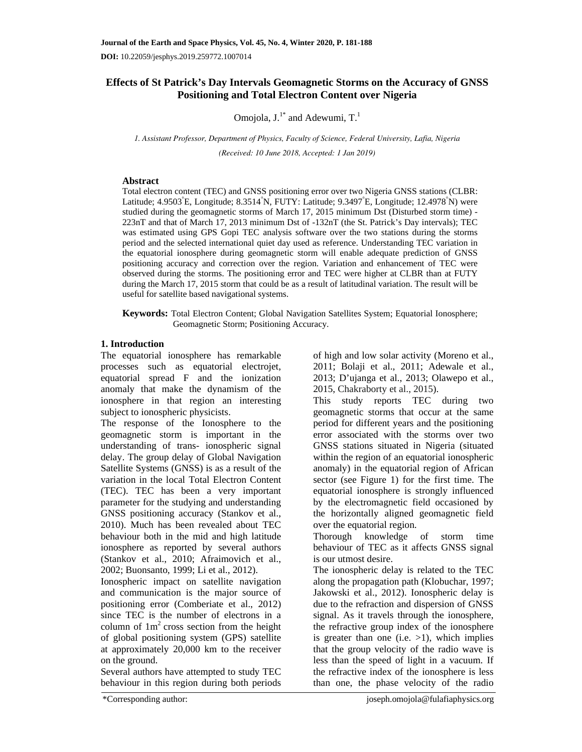# **Effects of St Patrick's Day Intervals Geomagnetic Storms on the Accuracy of GNSS Positioning and Total Electron Content over Nigeria**

Omojola,  $J^{1*}$  and Adewumi,  $T^{1*}$ 

*1. Assistant Professor, Department of Physics, Faculty of Science, Federal University, Lafia, Nigeria (Received: 10 June 2018, Accepted: 1 Jan 2019)* 

## **Abstract**

Total electron content (TEC) and GNSS positioning error over two Nigeria GNSS stations (CLBR: Latitude; 4.9503°E, Longitude; 8.3514°N, FUTY: Latitude; 9.3497°E, Longitude; 12.4978°N) were studied during the geomagnetic storms of March 17, 2015 minimum Dst (Disturbed storm time) - 223nT and that of March 17, 2013 minimum Dst of -132nT (the St. Patrick's Day intervals); TEC was estimated using GPS Gopi TEC analysis software over the two stations during the storms period and the selected international quiet day used as reference. Understanding TEC variation in the equatorial ionosphere during geomagnetic storm will enable adequate prediction of GNSS positioning accuracy and correction over the region. Variation and enhancement of TEC were observed during the storms. The positioning error and TEC were higher at CLBR than at FUTY during the March 17, 2015 storm that could be as a result of latitudinal variation. The result will be useful for satellite based navigational systems.

**Keywords:** Total Electron Content; Global Navigation Satellites System; Equatorial Ionosphere; Geomagnetic Storm; Positioning Accuracy.

## **1. Introduction**

The equatorial ionosphere has remarkable processes such as equatorial electrojet, equatorial spread F and the ionization anomaly that make the dynamism of the ionosphere in that region an interesting subject to ionospheric physicists.

The response of the Ionosphere to the geomagnetic storm is important in the understanding of trans- ionospheric signal delay. The group delay of Global Navigation Satellite Systems (GNSS) is as a result of the variation in the local Total Electron Content (TEC). TEC has been a very important parameter for the studying and understanding GNSS positioning accuracy (Stankov et al., 2010). Much has been revealed about TEC behaviour both in the mid and high latitude ionosphere as reported by several authors (Stankov et al., 2010; Afraimovich et al., 2002; Buonsanto, 1999; Li et al., 2012).

Ionospheric impact on satellite navigation and communication is the major source of positioning error (Comberiate et al., 2012) since TEC is the number of electrons in a column of  $1m<sup>2</sup>$  cross section from the height of global positioning system (GPS) satellite at approximately 20,000 km to the receiver on the ground.

Several authors have attempted to study TEC behaviour in this region during both periods of high and low solar activity (Moreno et al., 2011; Bolaji et al., 2011; Adewale et al., 2013; D'ujanga et al., 2013; Olawepo et al., 2015, Chakraborty et al., 2015).

This study reports TEC during two geomagnetic storms that occur at the same period for different years and the positioning error associated with the storms over two GNSS stations situated in Nigeria (situated within the region of an equatorial ionospheric anomaly) in the equatorial region of African sector (see Figure 1) for the first time. The equatorial ionosphere is strongly influenced by the electromagnetic field occasioned by the horizontally aligned geomagnetic field over the equatorial region.

Thorough knowledge of storm time behaviour of TEC as it affects GNSS signal is our utmost desire.

The ionospheric delay is related to the TEC along the propagation path (Klobuchar, 1997; Jakowski et al., 2012). Ionospheric delay is due to the refraction and dispersion of GNSS signal. As it travels through the ionosphere, the refractive group index of the ionosphere is greater than one (i.e.  $>1$ ), which implies that the group velocity of the radio wave is less than the speed of light in a vacuum. If the refractive index of the ionosphere is less than one, the phase velocity of the radio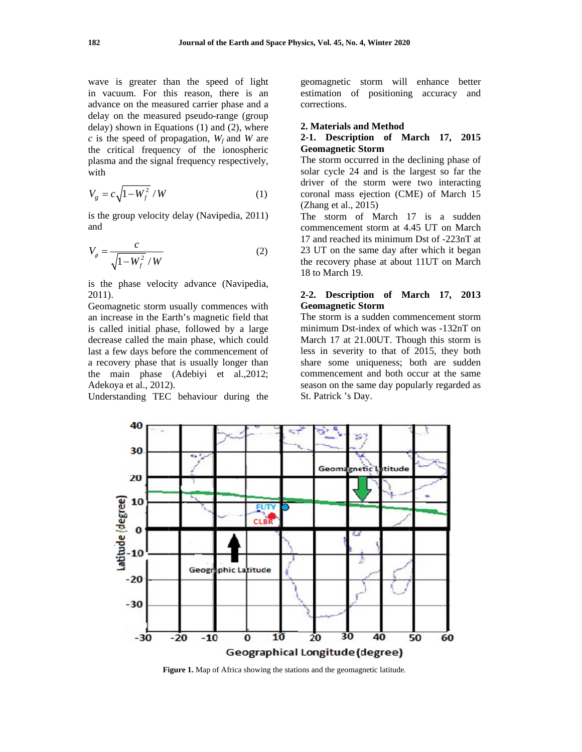wave is greater than the speed of light in vacuum. For this reason, there is an advance on the measured carrier phase and a delay on the measured pseudo-range (group delay) shown in Equations  $(1)$  and  $(2)$ , where c is the speed of propagation,  $W_f$  and W are the critical frequency of the ionospheric plasma and the signal frequency respectively, with

$$
V_g = c\sqrt{1 - W_f^2} / W \tag{1}
$$

is the group velocity delay (Navipedia, 2011) and

$$
V_{\phi} = \frac{c}{\sqrt{1 - W_f^2} / W}
$$
 (2)

is the phase velocity advance (Navipedia,  $2011$ ).

Geomagnetic storm usually commences with an increase in the Earth's magnetic field that is called initial phase, followed by a large decrease called the main phase, which could last a few days before the commencement of a recovery phase that is usually longer than the main phase (Adebiyi et al., 2012; Adekoya et al., 2012).

Understanding TEC behaviour during the

geomagnetic storm will enhance better estimation of positioning accuracy and corrections.

#### 2. Materials and Method

## 2-1. Description of March 17, 2015 **Geomagnetic Storm**

The storm occurred in the declining phase of solar cycle 24 and is the largest so far the driver of the storm were two interacting coronal mass ejection (CME) of March 15 (Zhang et al.,  $2015$ )

The storm of March 17 is a sudden commencement storm at 4.45 UT on March 17 and reached its minimum Dst of -223nT at 23 UT on the same day after which it began the recovery phase at about 11UT on March 18 to March 19.

## 2-2. Description of March 17, 2013 **Geomagnetic Storm**

The storm is a sudden commencement storm minimum Dst-index of which was -132nT on March 17 at 21.00UT. Though this storm is less in severity to that of 2015, they both share some uniqueness; both are sudden commencement and both occur at the same season on the same day popularly regarded as St. Patrick 's Day.



Figure 1. Map of Africa showing the stations and the geomagnetic latitude.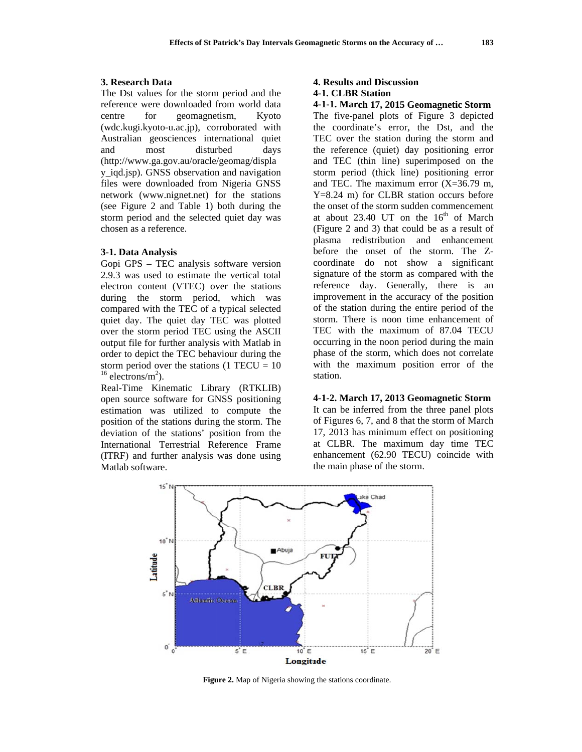#### 3. Research Data

The Dst values for the storm period and the reference were downloaded from world data centre for geomagnetism, Kvoto (wdc.kugi.kyoto-u.ac.jp), corroborated with Australian geosciences international quiet and most disturbed days (http://www.ga.gov.au/oracle/geomag/displa y\_iqd.jsp). GNSS observation and navigation files were downloaded from Nigeria GNSS network (www.nignet.net) for the stations (see Figure 2 and Table 1) both during the storm period and the selected quiet day was chosen as a reference.

### 3-1. Data Analysis

Gopi GPS - TEC analysis software version 2.9.3 was used to estimate the vertical total electron content (VTEC) over the stations during the storm period, which was compared with the TEC of a typical selected quiet day. The quiet day TEC was plotted over the storm period TEC using the ASCII output file for further analysis with Matlab in order to depict the TEC behaviour during the storm period over the stations  $(1 \text{ TECU} = 10)$  $16$  electrons/m<sup>2</sup>).

Real-Time Kinematic Library (RTKLIB) open source software for GNSS positioning estimation was utilized to compute the position of the stations during the storm. The deviation of the stations' position from the International Terrestrial Reference Frame (ITRF) and further analysis was done using Matlab software.

#### **4. Results and Discussion** 4-1. CLBR Station

### 4-1-1. March 17, 2015 Geomagnetic Storm

The five-panel plots of Figure 3 depicted the coordinate's error, the Dst, and the TEC over the station during the storm and the reference (quiet) day positioning error and TEC (thin line) superimposed on the storm period (thick line) positioning error and TEC. The maximum error  $(X=36.79$  m,  $Y=8.24$  m) for CLBR station occurs before the onset of the storm sudden commencement at about 23.40 UT on the 16<sup>th</sup> of March (Figure 2 and 3) that could be as a result of plasma redistribution and enhancement before the onset of the storm. The Zcoordinate do not show a significant signature of the storm as compared with the reference day. Generally, there is an improvement in the accuracy of the position of the station during the entire period of the storm. There is noon time enhancement of TEC with the maximum of 87.04 TECU occurring in the noon period during the main phase of the storm, which does not correlate with the maximum position error of the station.

4-1-2. March 17, 2013 Geomagnetic Storm It can be inferred from the three panel plots of Figures 6, 7, and 8 that the storm of March 17, 2013 has minimum effect on positioning at CLBR. The maximum day time TEC enhancement (62.90 TECU) coincide with the main phase of the storm.



Figure 2. Map of Nigeria showing the stations coordinate.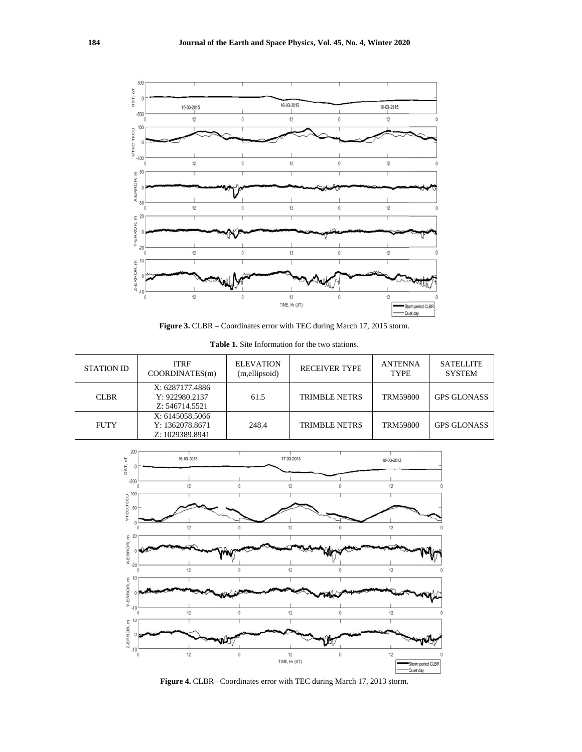

Figure 3. CLBR - Coordinates error with TEC during March 17, 2015 storm.

| <b>STATION ID</b> | <b>ITRF</b><br>COORDINATES(m)                         | <b>ELEVATION</b><br>(m,ellipsoid) | <b>RECEIVER TYPE</b> | <b>ANTENNA</b><br><b>TYPE</b> | <b>SATELLITE</b><br><b>SYSTEM</b> |
|-------------------|-------------------------------------------------------|-----------------------------------|----------------------|-------------------------------|-----------------------------------|
| <b>CLBR</b>       | X: 6287177.4886<br>Y: 922980.2137<br>Z: 546714.5521   | 61.5                              | <b>TRIMBLE NETRS</b> | <b>TRM59800</b>               | <b>GPS GLONASS</b>                |
| <b>FUTY</b>       | X: 6145058.5066<br>Y: 1362078.8671<br>Z: 1029389.8941 | 248.4                             | <b>TRIMBLE NETRS</b> | <b>TRM59800</b>               | <b>GPS GLONASS</b>                |

Table 1. Site Information for the two stations.



Figure 4. CLBR- Coordinates error with TEC during March 17, 2013 storm.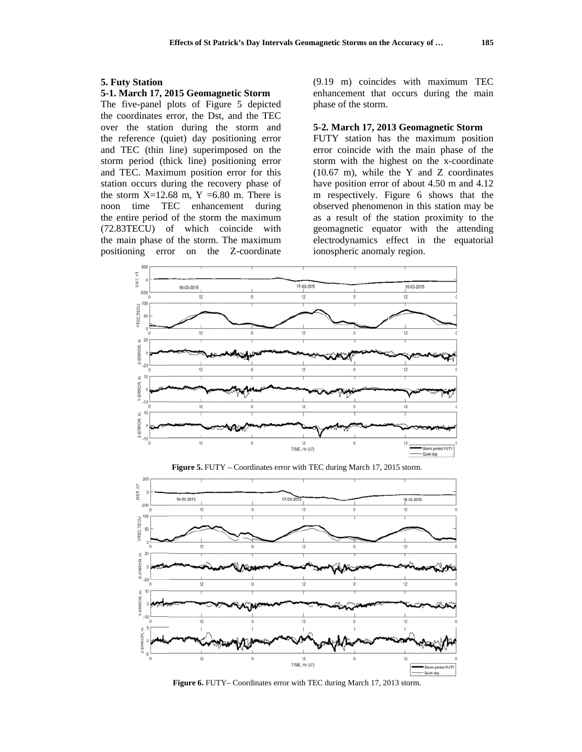#### **5. Futy Station**

## 5-1. March 17, 2015 Geomagnetic Storm

The five-panel plots of Figure 5 depicted the coordinates error, the Dst, and the TEC over the station during the storm and the reference (quiet) day positioning error and TEC (thin line) superimposed on the storm period (thick line) positioning error and TEC. Maximum position error for this station occurs during the recovery phase of the storm  $X=12.68$  m,  $Y=6.80$  m. There is noon time TEC enhancement during the entire period of the storm the maximum (72.83TECU) of which coincide with the main phase of the storm. The maximum error on the Z-coordinate positioning

(9.19 m) coincides with maximum TEC enhancement that occurs during the main phase of the storm.

#### 5-2. March 17, 2013 Geomagnetic Storm

FUTY station has the maximum position error coincide with the main phase of the storm with the highest on the x-coordinate  $(10.67 \text{ m})$ , while the Y and Z coordinates have position error of about 4.50 m and 4.12 m respectively. Figure 6 shows that the observed phenomenon in this station may be as a result of the station proximity to the geomagnetic equator with the attending electrodynamics effect in the equatorial ionospheric anomaly region.





Figure 5. FUTY - Coordinates error with TEC during March 17, 2015 storm.

Figure 6. FUTY-Coordinates error with TEC during March 17, 2013 storm.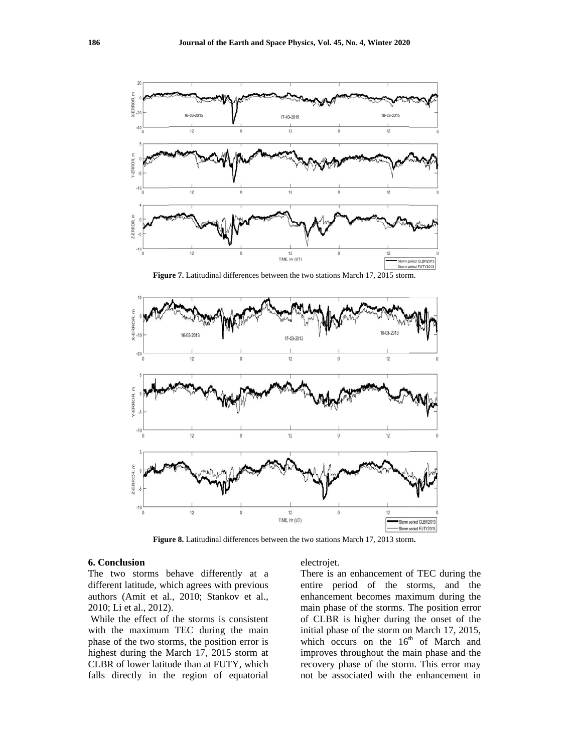

Figure 7. Latitudinal differences between the two stations March 17, 2015 storm.



Figure 8. Latitudinal differences between the two stations March 17, 2013 storm.

### 6. Conclusion

The two storms behave differently at a different latitude, which agrees with previous authors (Amit et al., 2010; Stankov et al., 2010; Li et al., 2012).

While the effect of the storms is consistent with the maximum TEC during the main phase of the two storms, the position error is highest during the March 17, 2015 storm at CLBR of lower latitude than at FUTY, which falls directly in the region of equatorial

#### electrojet.

There is an enhancement of TEC during the entire period of the storms, and the enhancement becomes maximum during the main phase of the storms. The position error of CLBR is higher during the onset of the initial phase of the storm on March 17, 2015, which occurs on the 16<sup>th</sup> of March and improves throughout the main phase and the recovery phase of the storm. This error may not be associated with the enhancement in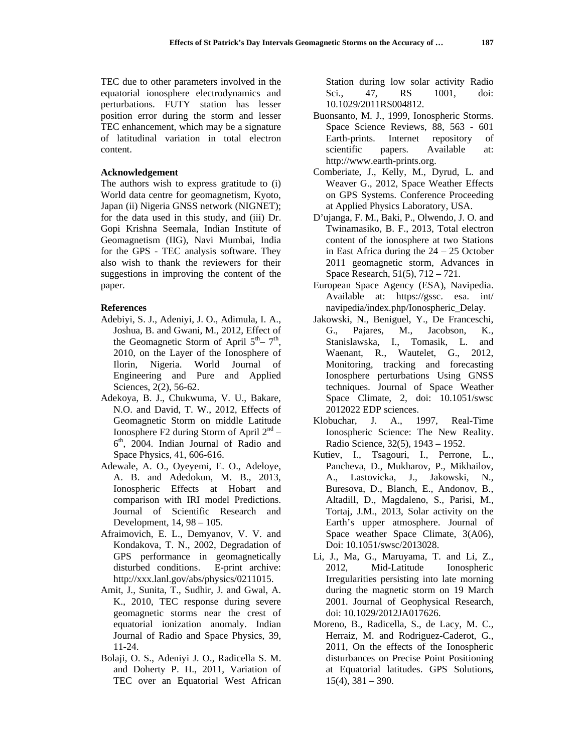TEC due to other parameters involved in the equatorial ionosphere electrodynamics and perturbations. FUTY station has lesser position error during the storm and lesser TEC enhancement, which may be a signature of latitudinal variation in total electron content.

## **Acknowledgement**

The authors wish to express gratitude to (i) World data centre for geomagnetism, Kyoto, Japan (ii) Nigeria GNSS network (NIGNET); for the data used in this study, and (iii) Dr. Gopi Krishna Seemala, Indian Institute of Geomagnetism (IIG), Navi Mumbai, India for the GPS - TEC analysis software. They also wish to thank the reviewers for their suggestions in improving the content of the paper.

### **References**

- Adebiyi, S. J., Adeniyi, J. O., Adimula, I. A., Joshua, B. and Gwani, M., 2012, Effect of the Geomagnetic Storm of April  $5<sup>th</sup> - 7<sup>th</sup>$ , 2010, on the Layer of the Ionosphere of Ilorin, Nigeria. World Journal of Engineering and Pure and Applied Sciences, 2(2), 56-62.
- Adekoya, B. J., Chukwuma, V. U., Bakare, N.O. and David, T. W., 2012, Effects of Geomagnetic Storm on middle Latitude Ionosphere F2 during Storm of April  $2<sup>nd</sup>$  –  $6<sup>th</sup>$ , 2004. Indian Journal of Radio and Space Physics, 41, 606-616.
- Adewale, A. O., Oyeyemi, E. O., Adeloye, A. B. and Adedokun, M. B., 2013, Ionospheric Effects at Hobart and comparison with IRI model Predictions. Journal of Scientific Research and Development, 14, 98 – 105.
- Afraimovich, E. L., Demyanov, V. V. and Kondakova, T. N., 2002, Degradation of GPS performance in geomagnetically disturbed conditions. E-print archive: http://xxx.lanl.gov/abs/physics/0211015.
- Amit, J., Sunita, T., Sudhir, J. and Gwal, A. K., 2010, TEC response during severe geomagnetic storms near the crest of equatorial ionization anomaly. Indian Journal of Radio and Space Physics, 39, 11-24.
- Bolaji, O. S., Adeniyi J. O., Radicella S. M. and Doherty P. H., 2011, Variation of TEC over an Equatorial West African

Station during low solar activity Radio Sci., 47, RS 1001, doi: 10.1029/2011RS004812.

- Buonsanto, M. J., 1999, Ionospheric Storms. Space Science Reviews, 88, 563 - 601 Earth-prints. Internet repository of scientific papers. Available at: http://www.earth-prints.org.
- Comberiate, J., Kelly, M., Dyrud, L. and Weaver G., 2012, Space Weather Effects on GPS Systems. Conference Proceeding at Applied Physics Laboratory, USA.
- D'ujanga, F. M., Baki, P., Olwendo, J. O. and Twinamasiko, B. F., 2013, Total electron content of the ionosphere at two Stations in East Africa during the  $24 - 25$  October 2011 geomagnetic storm, Advances in Space Research, 51(5), 712 – 721.
- European Space Agency (ESA), Navipedia. Available at: https://gssc. esa. int/ navipedia/index.php/Ionospheric\_Delay.
- Jakowski, N., Beniguel, Y., De Franceschi, G., Pajares, M., Jacobson, K., Stanislawska, I., Tomasik, L. and Waenant, R., Wautelet, G., 2012, Monitoring, tracking and forecasting Ionosphere perturbations Using GNSS techniques. Journal of Space Weather Space Climate, 2, doi: 10.1051/swsc 2012022 EDP sciences.
- Klobuchar, J. A., 1997, Real-Time Ionospheric Science: The New Reality. Radio Science, 32(5), 1943 – 1952.
- Kutiev, I., Tsagouri, I., Perrone, L., Pancheva, D., Mukharov, P., Mikhailov, A., Lastovicka, J., Jakowski, N., Buresova, D., Blanch, E., Andonov, B., Altadill, D., Magdaleno, S., Parisi, M., Tortaj, J.M., 2013, Solar activity on the Earth's upper atmosphere. Journal of Space weather Space Climate, 3(A06), Doi: 10.1051/swsc/2013028.
- Li, J., Ma, G., Maruyama, T. and Li, Z., 2012, Mid-Latitude Ionospheric Irregularities persisting into late morning during the magnetic storm on 19 March 2001. Journal of Geophysical Research, doi: 10.1029/2012JA017626.
- Moreno, B., Radicella, S., de Lacy, M. C., Herraiz, M. and Rodriguez-Caderot, G., 2011, On the effects of the Ionospheric disturbances on Precise Point Positioning at Equatorial latitudes. GPS Solutions,  $15(4)$ ,  $381 - 390$ .